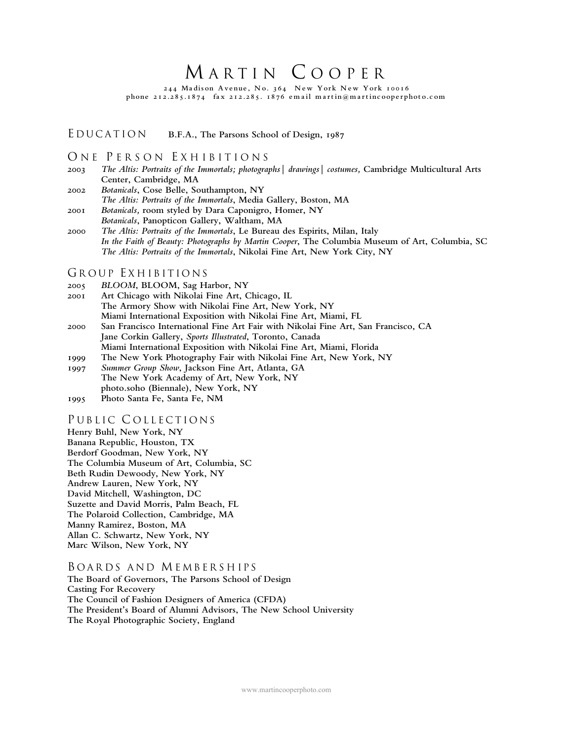# MARTIN COOPER

244 Madison Avenue, No. 364 New York New York 10016 phone  $212.285.1874$  fax  $212.285.1876$  email martin@martincooperphoto.com

# E <sup>D</sup> <sup>U</sup> <sup>C</sup> <sup>A</sup> <sup>T</sup> <sup>I</sup> <sup>O</sup> <sup>N</sup> **B.F.A., The Parsons School of Design, 1987**

### ONE PERSON EXHIBITIONS

- **2003** *The Altis: Portraits of the Immortals; photographs| drawings| costumes,* **Cambridge Multicultural Arts Center, Cambridge, MA**
- **2002** *Botanicals***, Cose Belle, Southampton, NY** *The Altis: Portraits of the Immortals***, Media Gallery, Boston, MA 2001** *Botanicals,* **room styled by Dara Caponigro, Homer, NY**
- *Botanicals***, Panopticon Gallery, Waltham, MA**
- **2000** *The Altis: Portraits of the Immortals***, Le Bureau des Espirits, Milan, Italy** *In the Faith of Beauty: Photographs by Martin Cooper***, The Columbia Museum of Art, Columbia, SC** *The Altis: Portraits of the Immortals***, Nikolai Fine Art, New York City, NY**

### GROUP EXHIBITIONS

- **2005** *BLOOM***, BLOOM, Sag Harbor, NY**
- **2001 Art Chicago with Nikolai Fine Art, Chicago, IL The Armory Show with Nikolai Fine Art, New York, NY Miami International Exposition with Nikolai Fine Art, Miami, FL 2000 San Francisco International Fine Art Fair with Nikolai Fine Art, San Francisco, CA**
- **Jane Corkin Gallery,** *Sports Illustrated***, Toronto, Canada Miami International Exposition with Nikolai Fine Art, Miami, Florida**
- **1999 The New York Photography Fair with Nikolai Fine Art, New York, NY**
- **1997** *Summer Group Show***, Jackson Fine Art, Atlanta, GA**
- **The New York Academy of Art, New York, NY photo.soho (Biennale), New York, NY**
- **1995 Photo Santa Fe, Santa Fe, NM**

# PUBLIC COLLECTIONS

- **Henry Buhl, New York, NY**
- **Banana Republic, Houston, TX**
- **Berdorf Goodman, New York, NY**
- **The Columbia Museum of Art, Columbia, SC**
- **Beth Rudin Dewoody, New York, NY**
- **Andrew Lauren, New York, NY**
- **David Mitchell, Washington, DC**
- **Suzette and David Morris, Palm Beach, FL**
- **The Polaroid Collection, Cambridge, MA**
- **Manny Ramirez, Boston, MA**
- **Allan C. Schwartz, New York, NY**
- **Marc Wilson, New York, NY**

#### BOARDS AND MEMBERSHIPS

**The Board of Governors, The Parsons School of Design Casting For Recovery The Council of Fashion Designers of America (CFDA) The President's Board of Alumni Advisors, The New School University The Royal Photographic Society, England**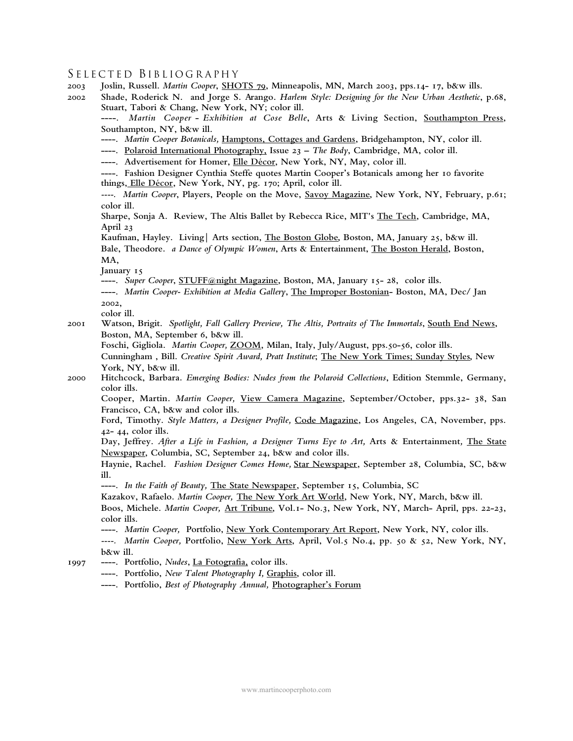# S E L E C T E D BIB L I O G R A PH Y

| 2003<br>2002 | Joslin, Russell. Martin Cooper, SHOTS 79, Minneapolis, MN, March 2003, pps.14- 17, b&w ills.<br>Shade, Roderick N. and Jorge S. Arango. Harlem Style: Designing for the New Urban Aesthetic, p.68, |
|--------------|----------------------------------------------------------------------------------------------------------------------------------------------------------------------------------------------------|
|              | Stuart, Tabori & Chang, New York, NY; color ill.<br>----. Martin Cooper - Exhibition at Cose Belle, Arts & Living Section, Southampton Press,                                                      |
|              | Southampton, NY, b&w ill.                                                                                                                                                                          |
|              | ----. Martin Cooper Botanicals, Hamptons, Cottages and Gardens, Bridgehampton, NY, color ill.                                                                                                      |
|              | ----. Polaroid International Photography, Issue 23 - The Body, Cambridge, MA, color ill.                                                                                                           |
|              | ----. Advertisement for Homer, Elle Décor, New York, NY, May, color ill.                                                                                                                           |
|              | ----. Fashion Designer Cynthia Steffe quotes Martin Cooper's Botanicals among her 10 favorite                                                                                                      |
|              | things, Elle Décor, New York, NY, pg. 170; April, color ill.                                                                                                                                       |
|              | ----. Martin Cooper, Players, People on the Move, Savoy Magazine, New York, NY, February, p.61;                                                                                                    |
|              | color ill.                                                                                                                                                                                         |
|              | Sharpe, Sonja A. Review, The Altis Ballet by Rebecca Rice, MIT's The Tech, Cambridge, MA,                                                                                                          |
|              | April 23                                                                                                                                                                                           |
|              | Kaufman, Hayley. Living   Arts section, <i>The Boston Globe</i> , Boston, MA, January 25, b&w ill.                                                                                                 |
|              | Bale, Theodore. a Dance of Olympic Women, Arts & Entertainment, The Boston Herald, Boston,                                                                                                         |
|              | MA,                                                                                                                                                                                                |
|              | January 15                                                                                                                                                                                         |
|              | ----. Super Cooper, STUFF@night Magazine, Boston, MA, January 15-28, color ills.                                                                                                                   |
|              | ----. Martin Cooper- Exhibition at Media Gallery, The Improper Bostonian- Boston, MA, Dec/ Jan                                                                                                     |
|              | 2002,                                                                                                                                                                                              |
|              | color ill.                                                                                                                                                                                         |
| 200I         | Watson, Brigit. Spotlight, Fall Gallery Preview, The Altis, Portraits of The Immortals, South End News,                                                                                            |
|              | Boston, MA, September 6, b&w ill.                                                                                                                                                                  |
|              | Foschi, Gigliola. Martin Cooper, ZOOM, Milan, Italy, July/August, pps.50-56, color ills.                                                                                                           |
|              | Cunningham, Bill. Creative Spirit Award, Pratt Institute; The New York Times; Sunday Styles, New                                                                                                   |
|              | York, NY, b&w ill.                                                                                                                                                                                 |
| 2000         | Hitchcock, Barbara. Emerging Bodies: Nudes from the Polaroid Collections, Edition Stemmle, Germany,<br>color ills.                                                                                 |
|              | Cooper, Martin. Martin Cooper, View Camera Magazine, September/October, pps.32- 38, San<br>Francisco, CA, b&w and color ills.                                                                      |
|              | Ford, Timothy. Style Matters, a Designer Profile, Code Magazine, Los Angeles, CA, November, pps.                                                                                                   |
|              | 42- 44, color ills.                                                                                                                                                                                |
|              | Day, Jeffrey. After a Life in Fashion, a Designer Turns Eye to Art, Arts & Entertainment, The State                                                                                                |
|              | Newspaper, Columbia, SC, September 24, b&w and color ills.                                                                                                                                         |
|              | Haynie, Rachel. Fashion Designer Comes Home, Star Newspaper, September 28, Columbia, SC, b&w                                                                                                       |
|              | $i11$ .                                                                                                                                                                                            |
|              | ----. In the Faith of Beauty, The State Newspaper, September 15, Columbia, SC                                                                                                                      |
|              | Kazakov, Rafaelo. Martin Cooper, The New York Art World, New York, NY, March, b&w ill.                                                                                                             |
|              | Boos, Michele. Martin Cooper, Art Tribune, Vol.1- No.3, New York, NY, March- April, pps. 22-23,                                                                                                    |
|              | color ills.                                                                                                                                                                                        |
|              | ----. Martin Cooper, Portfolio, New York Contemporary Art Report, New York, NY, color ills.                                                                                                        |
|              | ----. Martin Cooper, Portfolio, New York Arts, April, Vol.5 No.4, pp. 50 & 52, New York, NY,                                                                                                       |
|              | $b$ &w ill.                                                                                                                                                                                        |
| 1997         | ----. Portfolio, Nudes, La Fotografia, color ills.                                                                                                                                                 |
|              | ----. Portfolio, New Talent Photography I, Graphis, color ill.                                                                                                                                     |

**----. Portfolio,** *Best of Photography Annual,* **Photographer's Forum**